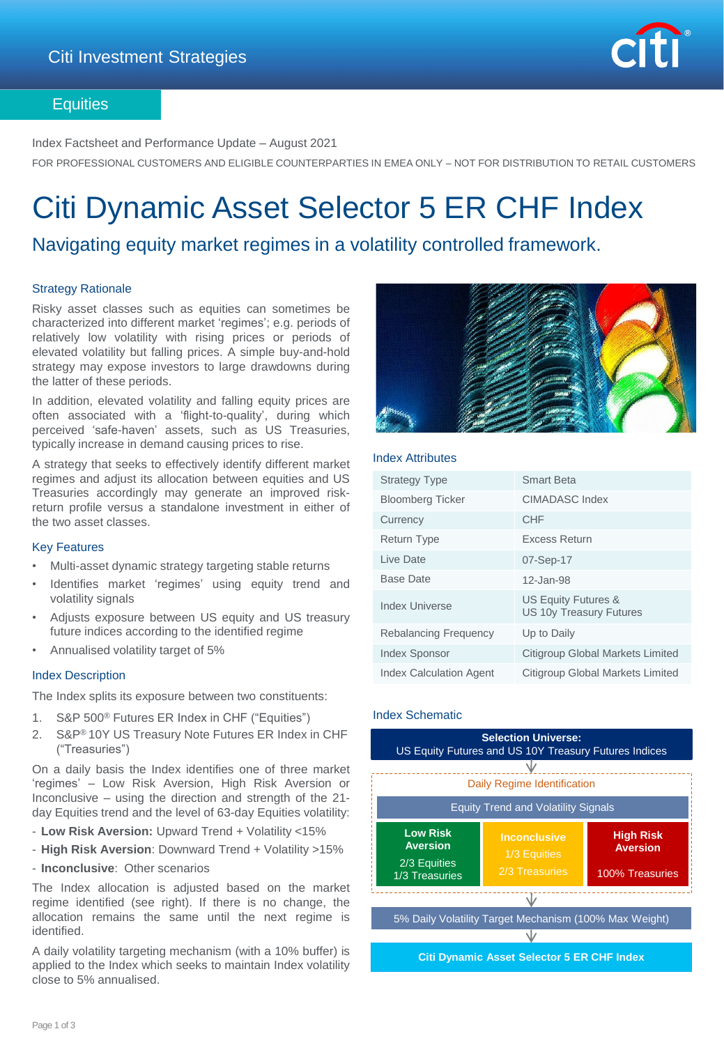

### **Equities**

Index Factsheet and Performance Update – August 2021

FOR PROFESSIONAL CUSTOMERS AND ELIGIBLE COUNTERPARTIES IN EMEA ONLY – NOT FOR DISTRIBUTION TO RETAIL CUSTOMERS

# Citi Dynamic Asset Selector 5 ER CHF Index

## Navigating equity market regimes in a volatility controlled framework.

#### Strategy Rationale

Risky asset classes such as equities can sometimes be characterized into different market 'regimes'; e.g. periods of relatively low volatility with rising prices or periods of elevated volatility but falling prices. A simple buy-and-hold strategy may expose investors to large drawdowns during the latter of these periods.

In addition, elevated volatility and falling equity prices are often associated with a 'flight-to-quality', during which perceived 'safe-haven' assets, such as US Treasuries, typically increase in demand causing prices to rise.

A strategy that seeks to effectively identify different market regimes and adjust its allocation between equities and US Treasuries accordingly may generate an improved riskreturn profile versus a standalone investment in either of the two asset classes.

#### Key Features

- Multi-asset dynamic strategy targeting stable returns
- Identifies market 'regimes' using equity trend and volatility signals
- Adjusts exposure between US equity and US treasury future indices according to the identified regime
- Annualised volatility target of 5%

#### Index Description

The Index splits its exposure between two constituents:

- 1. S&P 500® Futures ER Index in CHF ("Equities")
- 2. S&P® 10Y US Treasury Note Futures ER Index in CHF ("Treasuries")

On a daily basis the Index identifies one of three market 'regimes' – Low Risk Aversion, High Risk Aversion or Inconclusive – using the direction and strength of the 21 day Equities trend and the level of 63-day Equities volatility:

- **Low Risk Aversion:** Upward Trend + Volatility <15%
- **High Risk Aversion**: Downward Trend + Volatility >15%
- **Inconclusive**: Other scenarios

The Index allocation is adjusted based on the market regime identified (see right). If there is no change, the allocation remains the same until the next regime is identified.

A daily volatility targeting mechanism (with a 10% buffer) is applied to the Index which seeks to maintain Index volatility close to 5% annualised.



#### Index Attributes

| <b>Strategy Type</b>           | <b>Smart Beta</b>                                     |
|--------------------------------|-------------------------------------------------------|
| <b>Bloomberg Ticker</b>        | <b>CIMADASC Index</b>                                 |
| Currency                       | <b>CHF</b>                                            |
| <b>Return Type</b>             | Excess Return                                         |
| Live Date                      | 07-Sep-17                                             |
| <b>Base Date</b>               | 12-Jan-98                                             |
| Index Universe                 | US Equity Futures &<br><b>US 10y Treasury Futures</b> |
| <b>Rebalancing Frequency</b>   | Up to Daily                                           |
| <b>Index Sponsor</b>           | <b>Citigroup Global Markets Limited</b>               |
| <b>Index Calculation Agent</b> | Citigroup Global Markets Limited                      |

#### Index Schematic

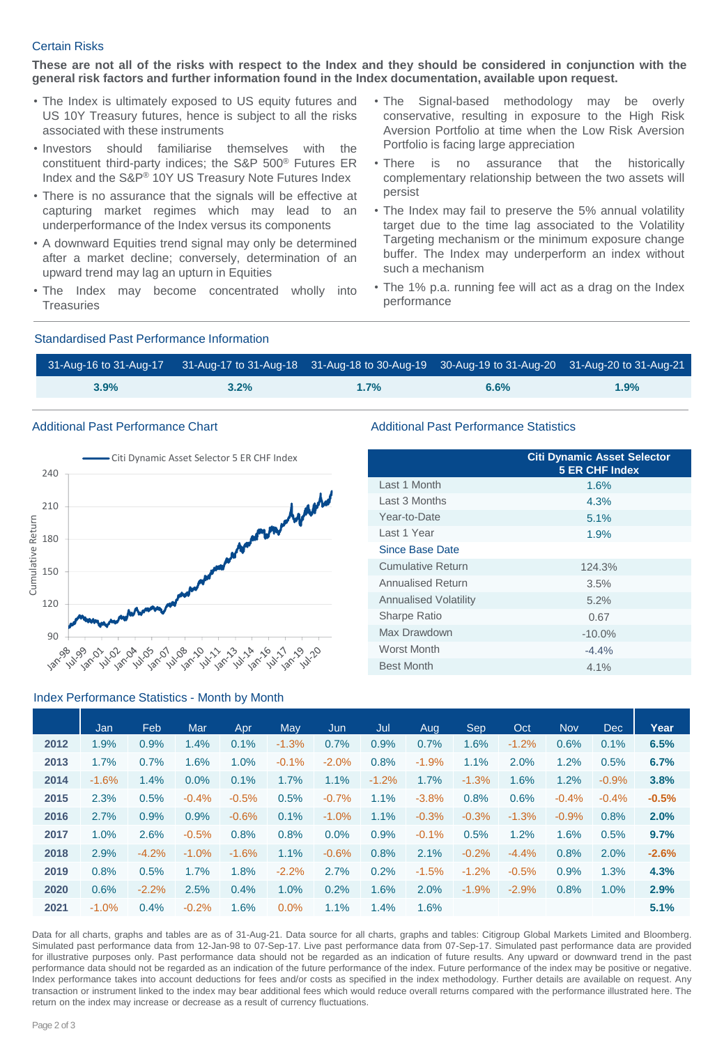#### Certain Risks

These are not all of the risks with respect to the Index and they should be considered in conjunction with the **general risk factors and further information found in the Index documentation, available upon request.**

- The Index is ultimately exposed to US equity futures and US 10Y Treasury futures, hence is subject to all the risks associated with these instruments
- Investors should familiarise themselves with the constituent third-party indices; the S&P 500® Futures ER Index and the S&P® 10Y US Treasury Note Futures Index
- There is no assurance that the signals will be effective at capturing market regimes which may lead to an underperformance of the Index versus its components
- A downward Equities trend signal may only be determined after a market decline; conversely, determination of an upward trend may lag an upturn in Equities
- The Index may become concentrated wholly into **Treasuries**
- The Signal-based methodology may be overly conservative, resulting in exposure to the High Risk Aversion Portfolio at time when the Low Risk Aversion Portfolio is facing large appreciation
- There is no assurance that the historically complementary relationship between the two assets will persist
- The Index may fail to preserve the 5% annual volatility target due to the time lag associated to the Volatility Targeting mechanism or the minimum exposure change buffer. The Index may underperform an index without such a mechanism
- The 1% p.a. running fee will act as a drag on the Index performance

#### Standardised Past Performance Information

|         | 31-Aug-16 to 31-Aug-17 31-Aug-17 to 31-Aug-18 31-Aug-18 to 30-Aug-19 30-Aug-19 to 31-Aug-20 31-Aug-20 to 31-Aug-21 |      |      |      |
|---------|--------------------------------------------------------------------------------------------------------------------|------|------|------|
| $3.9\%$ | $3.2\%$                                                                                                            | 1.7% | 6.6% | 1.9% |



#### Index Performance Statistics - Month by Month

#### Additional Past Performance Chart **Additional Past Performance Statistics** Additional Past Performance Statistics

|                              | <b>Citi Dynamic Asset Selector</b><br><b>5 ER CHF Index</b> |  |  |  |  |  |
|------------------------------|-------------------------------------------------------------|--|--|--|--|--|
| Last 1 Month                 | 1.6%                                                        |  |  |  |  |  |
| Last 3 Months                | 4.3%                                                        |  |  |  |  |  |
| Year-to-Date                 | 5.1%                                                        |  |  |  |  |  |
| Last 1 Year                  | 1.9%                                                        |  |  |  |  |  |
| Since Base Date              |                                                             |  |  |  |  |  |
| <b>Cumulative Return</b>     | 124.3%                                                      |  |  |  |  |  |
| Annualised Return            | 3.5%                                                        |  |  |  |  |  |
| <b>Annualised Volatility</b> | 5.2%                                                        |  |  |  |  |  |
| Sharpe Ratio                 | 0.67                                                        |  |  |  |  |  |
| Max Drawdown                 | $-10.0\%$                                                   |  |  |  |  |  |
| <b>Worst Month</b>           | $-4.4%$                                                     |  |  |  |  |  |
| <b>Best Month</b>            | 4.1%                                                        |  |  |  |  |  |

|      | Jan     | <b>Feb</b> | Mar     | Apr     | May     | Jun      | Jul     | Aug     | Sep     | Oct     | <b>Nov</b> | <b>Dec</b> | Year    |
|------|---------|------------|---------|---------|---------|----------|---------|---------|---------|---------|------------|------------|---------|
| 2012 | 1.9%    | 0.9%       | 1.4%    | 0.1%    | $-1.3%$ | 0.7%     | 0.9%    | 0.7%    | 1.6%    | $-1.2%$ | 0.6%       | 0.1%       | 6.5%    |
| 2013 | 1.7%    | 0.7%       | 1.6%    | 1.0%    | $-0.1%$ | $-2.0%$  | 0.8%    | $-1.9%$ | 1.1%    | 2.0%    | 1.2%       | 0.5%       | 6.7%    |
| 2014 | $-1.6%$ | 1.4%       | 0.0%    | 0.1%    | 1.7%    | 1.1%     | $-1.2%$ | 1.7%    | $-1.3%$ | 1.6%    | 1.2%       | $-0.9%$    | 3.8%    |
| 2015 | 2.3%    | 0.5%       | $-0.4%$ | $-0.5%$ | 0.5%    | $-0.7%$  | 1.1%    | $-3.8%$ | 0.8%    | 0.6%    | $-0.4%$    | $-0.4%$    | $-0.5%$ |
| 2016 | 2.7%    | 0.9%       | 0.9%    | $-0.6%$ | 0.1%    | $-1.0\%$ | 1.1%    | $-0.3%$ | $-0.3%$ | $-1.3%$ | $-0.9%$    | 0.8%       | 2.0%    |
| 2017 | 1.0%    | 2.6%       | $-0.5%$ | 0.8%    | 0.8%    | 0.0%     | 0.9%    | $-0.1%$ | 0.5%    | 1.2%    | 1.6%       | 0.5%       | 9.7%    |
| 2018 | 2.9%    | $-4.2%$    | $-1.0%$ | $-1.6%$ | 1.1%    | $-0.6%$  | 0.8%    | 2.1%    | $-0.2%$ | $-4.4%$ | 0.8%       | 2.0%       | $-2.6%$ |
| 2019 | 0.8%    | 0.5%       | 1.7%    | 1.8%    | $-2.2%$ | 2.7%     | 0.2%    | $-1.5%$ | $-1.2%$ | $-0.5%$ | 0.9%       | 1.3%       | 4.3%    |
| 2020 | 0.6%    | $-2.2%$    | 2.5%    | 0.4%    | 1.0%    | 0.2%     | 1.6%    | 2.0%    | $-1.9%$ | $-2.9%$ | 0.8%       | 1.0%       | 2.9%    |
| 2021 | $-1.0%$ | 0.4%       | $-0.2%$ | 1.6%    | 0.0%    | 1.1%     | 1.4%    | 1.6%    |         |         |            |            | 5.1%    |

Data for all charts, graphs and tables are as of 31-Aug-21. Data source for all charts, graphs and tables: Citigroup Global Markets Limited and Bloomberg. Simulated past performance data from 12-Jan-98 to 07-Sep-17. Live past performance data from 07-Sep-17. Simulated past performance data are provided for illustrative purposes only. Past performance data should not be regarded as an indication of future results. Any upward or downward trend in the past performance data should not be regarded as an indication of the future performance of the index. Future performance of the index may be positive or negative. Index performance takes into account deductions for fees and/or costs as specified in the index methodology. Further details are available on request. Any transaction or instrument linked to the index may bear additional fees which would reduce overall returns compared with the performance illustrated here. The return on the index may increase or decrease as a result of currency fluctuations.